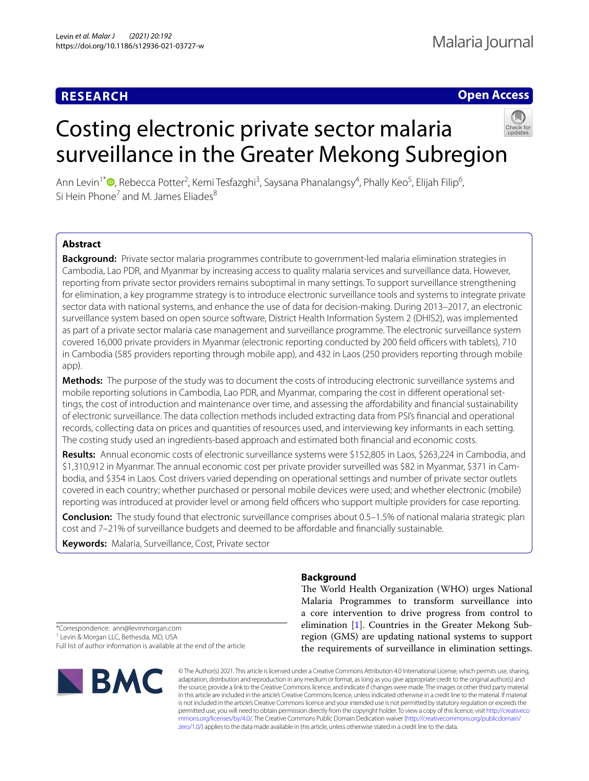# **RESEARCH**

# **Open Access**

# Costing electronic private sector malaria surveillance in the Greater Mekong Subregion



Ann Levin<sup>1\*</sup>®[,](http://orcid.org/0000-0002-7417-7648) Rebecca Potter<sup>2</sup>, Kemi Tesfazghi<sup>3</sup>, Saysana Phanalangsy<sup>4</sup>, Phally Keo<sup>5</sup>, Elijah Filip<sup>6</sup>, Si Hein Phone<sup>7</sup> and M. James Fliades<sup>8</sup>

# **Abstract**

**Background:** Private sector malaria programmes contribute to government-led malaria elimination strategies in Cambodia, Lao PDR, and Myanmar by increasing access to quality malaria services and surveillance data. However, reporting from private sector providers remains suboptimal in many settings. To support surveillance strengthening for elimination, a key programme strategy is to introduce electronic surveillance tools and systems to integrate private sector data with national systems, and enhance the use of data for decision-making. During 2013–2017, an electronic surveillance system based on open source software, District Health Information System 2 (DHIS2), was implemented as part of a private sector malaria case management and surveillance programme. The electronic surveillance system covered 16,000 private providers in Myanmar (electronic reporting conducted by 200 field officers with tablets), 710 in Cambodia (585 providers reporting through mobile app), and 432 in Laos (250 providers reporting through mobile app).

**Methods:** The purpose of the study was to document the costs of introducing electronic surveillance systems and mobile reporting solutions in Cambodia, Lao PDR, and Myanmar, comparing the cost in diferent operational settings, the cost of introduction and maintenance over time, and assessing the afordability and fnancial sustainability of electronic surveillance. The data collection methods included extracting data from PSI's fnancial and operational records, collecting data on prices and quantities of resources used, and interviewing key informants in each setting. The costing study used an ingredients-based approach and estimated both fnancial and economic costs.

**Results:** Annual economic costs of electronic surveillance systems were \$152,805 in Laos, \$263,224 in Cambodia, and \$1,310,912 in Myanmar. The annual economic cost per private provider surveilled was \$82 in Myanmar, \$371 in Cambodia, and \$354 in Laos. Cost drivers varied depending on operational settings and number of private sector outlets covered in each country; whether purchased or personal mobile devices were used; and whether electronic (mobile) reporting was introduced at provider level or among field officers who support multiple providers for case reporting.

**Conclusion:** The study found that electronic surveillance comprises about 0.5–1.5% of national malaria strategic plan cost and 7-21% of surveillance budgets and deemed to be affordable and financially sustainable.

**Keywords:** Malaria, Surveillance, Cost, Private sector

# **Background**

The World Health Organization (WHO) urges National Malaria Programmes to transform surveillance into a core intervention to drive progress from control to elimination [[1\]](#page-11-0). Countries in the Greater Mekong Subregion (GMS) are updating national systems to support the requirements of surveillance in elimination settings.

\*Correspondence: ann@levinmorgan.com

<sup>1</sup> Levin & Morgan LLC, Bethesda, MD, USA

Full list of author information is available at the end of the article



© The Author(s) 2021. This article is licensed under a Creative Commons Attribution 4.0 International License, which permits use, sharing, adaptation, distribution and reproduction in any medium or format, as long as you give appropriate credit to the original author(s) and the source, provide a link to the Creative Commons licence, and indicate if changes were made. The images or other third party material in this article are included in the article's Creative Commons licence, unless indicated otherwise in a credit line to the material. If material is not included in the article's Creative Commons licence and your intended use is not permitted by statutory regulation or exceeds the permitted use, you will need to obtain permission directly from the copyright holder. To view a copy of this licence, visit [http://creativeco](http://creativecommons.org/licenses/by/4.0/) [mmons.org/licenses/by/4.0/.](http://creativecommons.org/licenses/by/4.0/) The Creative Commons Public Domain Dedication waiver ([http://creativecommons.org/publicdomain/](http://creativecommons.org/publicdomain/zero/1.0/) [zero/1.0/\)](http://creativecommons.org/publicdomain/zero/1.0/) applies to the data made available in this article, unless otherwise stated in a credit line to the data.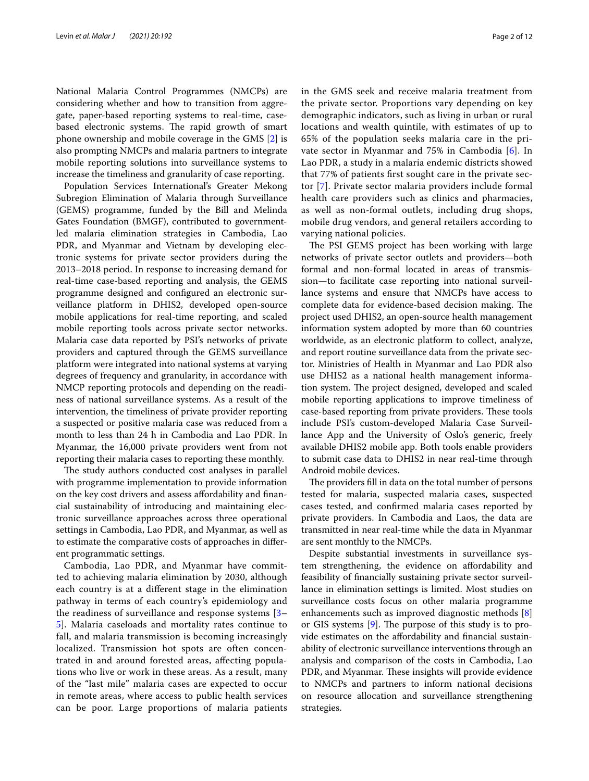National Malaria Control Programmes (NMCPs) are considering whether and how to transition from aggregate, paper-based reporting systems to real-time, casebased electronic systems. The rapid growth of smart phone ownership and mobile coverage in the GMS [\[2](#page-11-1)] is also prompting NMCPs and malaria partners to integrate mobile reporting solutions into surveillance systems to increase the timeliness and granularity of case reporting.

Population Services International's Greater Mekong Subregion Elimination of Malaria through Surveillance (GEMS) programme, funded by the Bill and Melinda Gates Foundation (BMGF), contributed to governmentled malaria elimination strategies in Cambodia, Lao PDR, and Myanmar and Vietnam by developing electronic systems for private sector providers during the 2013–2018 period. In response to increasing demand for real-time case-based reporting and analysis, the GEMS programme designed and confgured an electronic surveillance platform in DHIS2, developed open-source mobile applications for real-time reporting, and scaled mobile reporting tools across private sector networks. Malaria case data reported by PSI's networks of private providers and captured through the GEMS surveillance platform were integrated into national systems at varying degrees of frequency and granularity, in accordance with NMCP reporting protocols and depending on the readiness of national surveillance systems. As a result of the intervention, the timeliness of private provider reporting a suspected or positive malaria case was reduced from a month to less than 24 h in Cambodia and Lao PDR. In Myanmar, the 16,000 private providers went from not reporting their malaria cases to reporting these monthly.

The study authors conducted cost analyses in parallel with programme implementation to provide information on the key cost drivers and assess afordability and fnancial sustainability of introducing and maintaining electronic surveillance approaches across three operational settings in Cambodia, Lao PDR, and Myanmar, as well as to estimate the comparative costs of approaches in diferent programmatic settings.

Cambodia, Lao PDR, and Myanmar have committed to achieving malaria elimination by 2030, although each country is at a diferent stage in the elimination pathway in terms of each country's epidemiology and the readiness of surveillance and response systems [[3–](#page-11-2) [5\]](#page-11-3). Malaria caseloads and mortality rates continue to fall, and malaria transmission is becoming increasingly localized. Transmission hot spots are often concentrated in and around forested areas, afecting populations who live or work in these areas. As a result, many of the "last mile" malaria cases are expected to occur in remote areas, where access to public health services can be poor. Large proportions of malaria patients in the GMS seek and receive malaria treatment from the private sector. Proportions vary depending on key demographic indicators, such as living in urban or rural locations and wealth quintile, with estimates of up to 65% of the population seeks malaria care in the private sector in Myanmar and 75% in Cambodia [\[6](#page-11-4)]. In Lao PDR, a study in a malaria endemic districts showed that 77% of patients frst sought care in the private sector [[7\]](#page-11-5). Private sector malaria providers include formal health care providers such as clinics and pharmacies, as well as non-formal outlets, including drug shops, mobile drug vendors, and general retailers according to varying national policies.

The PSI GEMS project has been working with large networks of private sector outlets and providers—both formal and non-formal located in areas of transmission—to facilitate case reporting into national surveillance systems and ensure that NMCPs have access to complete data for evidence-based decision making. The project used DHIS2, an open-source health management information system adopted by more than 60 countries worldwide, as an electronic platform to collect, analyze, and report routine surveillance data from the private sector. Ministries of Health in Myanmar and Lao PDR also use DHIS2 as a national health management information system. The project designed, developed and scaled mobile reporting applications to improve timeliness of case-based reporting from private providers. These tools include PSI's custom-developed Malaria Case Surveillance App and the University of Oslo's generic, freely available DHIS2 mobile app. Both tools enable providers to submit case data to DHIS2 in near real-time through Android mobile devices.

The providers fill in data on the total number of persons tested for malaria, suspected malaria cases, suspected cases tested, and confrmed malaria cases reported by private providers. In Cambodia and Laos, the data are transmitted in near real-time while the data in Myanmar are sent monthly to the NMCPs.

Despite substantial investments in surveillance system strengthening, the evidence on afordability and feasibility of fnancially sustaining private sector surveillance in elimination settings is limited. Most studies on surveillance costs focus on other malaria programme enhancements such as improved diagnostic methods [\[8](#page-11-6)] or GIS systems  $[9]$  $[9]$  $[9]$ . The purpose of this study is to provide estimates on the afordability and fnancial sustainability of electronic surveillance interventions through an analysis and comparison of the costs in Cambodia, Lao PDR, and Myanmar. These insights will provide evidence to NMCPs and partners to inform national decisions on resource allocation and surveillance strengthening strategies.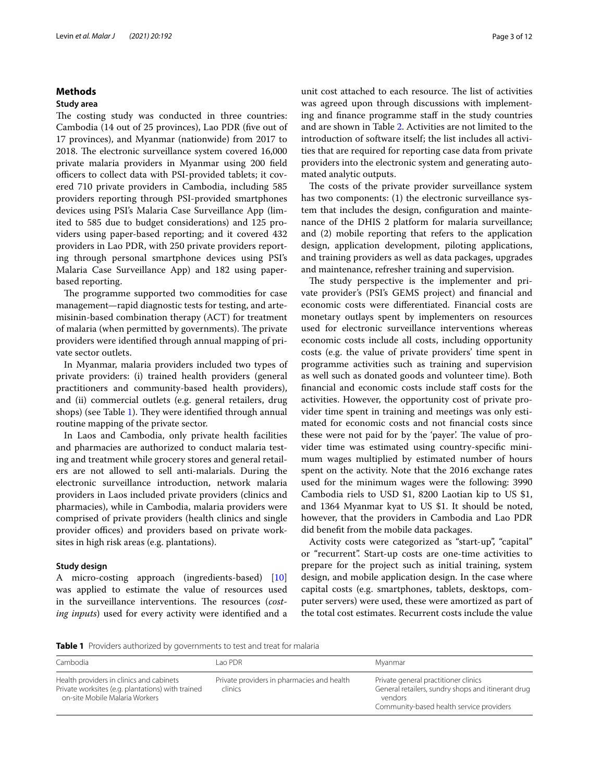# **Methods**

### **Study area**

The costing study was conducted in three countries: Cambodia (14 out of 25 provinces), Lao PDR (fve out of 17 provinces), and Myanmar (nationwide) from 2017 to 2018. The electronic surveillance system covered 16,000 private malaria providers in Myanmar using 200 feld officers to collect data with PSI-provided tablets; it covered 710 private providers in Cambodia, including 585 providers reporting through PSI-provided smartphones devices using PSI's Malaria Case Surveillance App (limited to 585 due to budget considerations) and 125 providers using paper-based reporting; and it covered 432 providers in Lao PDR, with 250 private providers reporting through personal smartphone devices using PSI's Malaria Case Surveillance App) and 182 using paperbased reporting.

The programme supported two commodities for case management—rapid diagnostic tests for testing, and artemisinin-based combination therapy (ACT) for treatment of malaria (when permitted by governments). The private providers were identifed through annual mapping of private sector outlets.

In Myanmar, malaria providers included two types of private providers: (i) trained health providers (general practitioners and community-based health providers), and (ii) commercial outlets (e.g. general retailers, drug shops) (see Table [1\)](#page-2-0). They were identified through annual routine mapping of the private sector.

In Laos and Cambodia, only private health facilities and pharmacies are authorized to conduct malaria testing and treatment while grocery stores and general retailers are not allowed to sell anti-malarials. During the electronic surveillance introduction, network malaria providers in Laos included private providers (clinics and pharmacies), while in Cambodia, malaria providers were comprised of private providers (health clinics and single provider offices) and providers based on private worksites in high risk areas (e.g. plantations).

### **Study design**

A micro-costing approach (ingredients-based) [[10](#page-11-8)] was applied to estimate the value of resources used in the surveillance interventions. The resources (cost*ing inputs*) used for every activity were identifed and a unit cost attached to each resource. The list of activities was agreed upon through discussions with implementing and fnance programme staf in the study countries and are shown in Table [2](#page-4-0). Activities are not limited to the introduction of software itself; the list includes all activities that are required for reporting case data from private providers into the electronic system and generating automated analytic outputs.

The costs of the private provider surveillance system has two components: (1) the electronic surveillance system that includes the design, confguration and maintenance of the DHIS 2 platform for malaria surveillance; and (2) mobile reporting that refers to the application design, application development, piloting applications, and training providers as well as data packages, upgrades and maintenance, refresher training and supervision.

The study perspective is the implementer and private provider's (PSI's GEMS project) and fnancial and economic costs were diferentiated. Financial costs are monetary outlays spent by implementers on resources used for electronic surveillance interventions whereas economic costs include all costs, including opportunity costs (e.g. the value of private providers' time spent in programme activities such as training and supervision as well such as donated goods and volunteer time). Both fnancial and economic costs include staf costs for the activities. However, the opportunity cost of private provider time spent in training and meetings was only estimated for economic costs and not fnancial costs since these were not paid for by the 'payer'. The value of provider time was estimated using country-specifc minimum wages multiplied by estimated number of hours spent on the activity. Note that the 2016 exchange rates used for the minimum wages were the following: 3990 Cambodia riels to USD \$1, 8200 Laotian kip to US \$1, and 1364 Myanmar kyat to US \$1. It should be noted, however, that the providers in Cambodia and Lao PDR did beneft from the mobile data packages.

Activity costs were categorized as "start-up", "capital" or "recurrent". Start-up costs are one-time activities to prepare for the project such as initial training, system design, and mobile application design. In the case where capital costs (e.g. smartphones, tablets, desktops, computer servers) were used, these were amortized as part of the total cost estimates. Recurrent costs include the value

<span id="page-2-0"></span>**Table 1** Providers authorized by governments to test and treat for malaria

| Cambodia                                                                                                                        | Lao PDR.                                              | Myanmar                                                                                                                                           |
|---------------------------------------------------------------------------------------------------------------------------------|-------------------------------------------------------|---------------------------------------------------------------------------------------------------------------------------------------------------|
| Health providers in clinics and cabinets<br>Private worksites (e.g. plantations) with trained<br>on-site Mobile Malaria Workers | Private providers in pharmacies and health<br>clinics | Private general practitioner clinics<br>General retailers, sundry shops and itinerant drug<br>vendors<br>Community-based health service providers |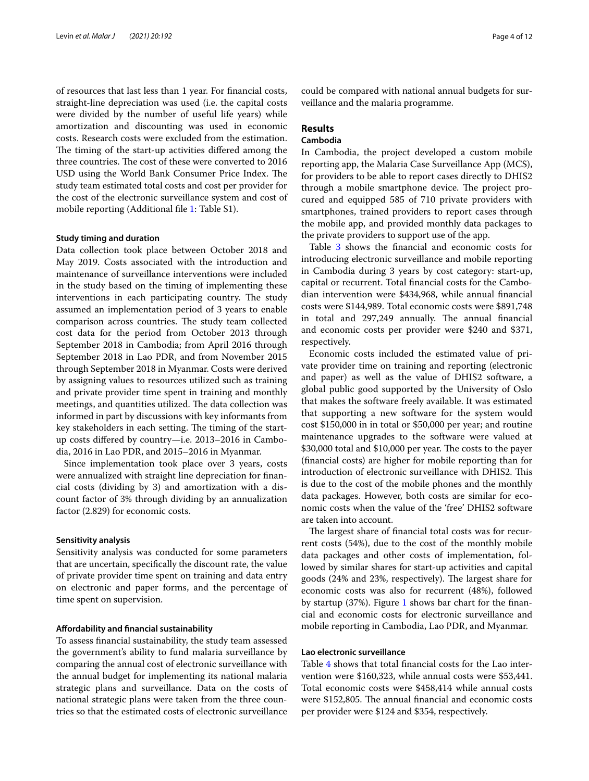of resources that last less than 1 year. For fnancial costs, straight-line depreciation was used (i.e. the capital costs were divided by the number of useful life years) while amortization and discounting was used in economic costs. Research costs were excluded from the estimation. The timing of the start-up activities differed among the three countries. The cost of these were converted to 2016 USD using the World Bank Consumer Price Index. The study team estimated total costs and cost per provider for the cost of the electronic surveillance system and cost of mobile reporting (Additional file [1:](#page-11-9) Table S1).

#### **Study timing and duration**

Data collection took place between October 2018 and May 2019. Costs associated with the introduction and maintenance of surveillance interventions were included in the study based on the timing of implementing these interventions in each participating country. The study assumed an implementation period of 3 years to enable comparison across countries. The study team collected cost data for the period from October 2013 through September 2018 in Cambodia; from April 2016 through September 2018 in Lao PDR, and from November 2015 through September 2018 in Myanmar. Costs were derived by assigning values to resources utilized such as training and private provider time spent in training and monthly meetings, and quantities utilized. The data collection was informed in part by discussions with key informants from key stakeholders in each setting. The timing of the startup costs difered by country—i.e. 2013–2016 in Cambodia, 2016 in Lao PDR, and 2015–2016 in Myanmar.

Since implementation took place over 3 years, costs were annualized with straight line depreciation for fnancial costs (dividing by 3) and amortization with a discount factor of 3% through dividing by an annualization factor (2.829) for economic costs.

#### **Sensitivity analysis**

Sensitivity analysis was conducted for some parameters that are uncertain, specifcally the discount rate, the value of private provider time spent on training and data entry on electronic and paper forms, and the percentage of time spent on supervision.

#### **Afordability and fnancial sustainability**

To assess fnancial sustainability, the study team assessed the government's ability to fund malaria surveillance by comparing the annual cost of electronic surveillance with the annual budget for implementing its national malaria strategic plans and surveillance. Data on the costs of national strategic plans were taken from the three countries so that the estimated costs of electronic surveillance could be compared with national annual budgets for surveillance and the malaria programme.

# **Results**

# **Cambodia**

In Cambodia, the project developed a custom mobile reporting app, the Malaria Case Surveillance App (MCS), for providers to be able to report cases directly to DHIS2 through a mobile smartphone device. The project procured and equipped 585 of 710 private providers with smartphones, trained providers to report cases through the mobile app, and provided monthly data packages to the private providers to support use of the app.

Table [3](#page-4-0) shows the financial and economic costs for introducing electronic surveillance and mobile reporting in Cambodia during 3 years by cost category: start-up, capital or recurrent. Total fnancial costs for the Cambodian intervention were \$434,968, while annual fnancial costs were \$144,989. Total economic costs were \$891,748 in total and 297,249 annually. The annual financial and economic costs per provider were \$240 and \$371, respectively.

Economic costs included the estimated value of private provider time on training and reporting (electronic and paper) as well as the value of DHIS2 software, a global public good supported by the University of Oslo that makes the software freely available. It was estimated that supporting a new software for the system would cost \$150,000 in in total or \$50,000 per year; and routine maintenance upgrades to the software were valued at \$30,000 total and \$10,000 per year. The costs to the payer (fnancial costs) are higher for mobile reporting than for introduction of electronic surveillance with DHIS2. This is due to the cost of the mobile phones and the monthly data packages. However, both costs are similar for economic costs when the value of the 'free' DHIS2 software are taken into account.

The largest share of financial total costs was for recurrent costs (54%), due to the cost of the monthly mobile data packages and other costs of implementation, followed by similar shares for start-up activities and capital goods (24% and 23%, respectively). The largest share for economic costs was also for recurrent (48%), followed by startup (37%). Figure [1](#page-4-1) shows bar chart for the fnancial and economic costs for electronic surveillance and mobile reporting in Cambodia, Lao PDR, and Myanmar.

# **Lao electronic surveillance**

Table [4](#page-7-0) shows that total fnancial costs for the Lao intervention were \$160,323, while annual costs were \$53,441. Total economic costs were \$458,414 while annual costs were \$152,805. The annual financial and economic costs per provider were \$124 and \$354, respectively.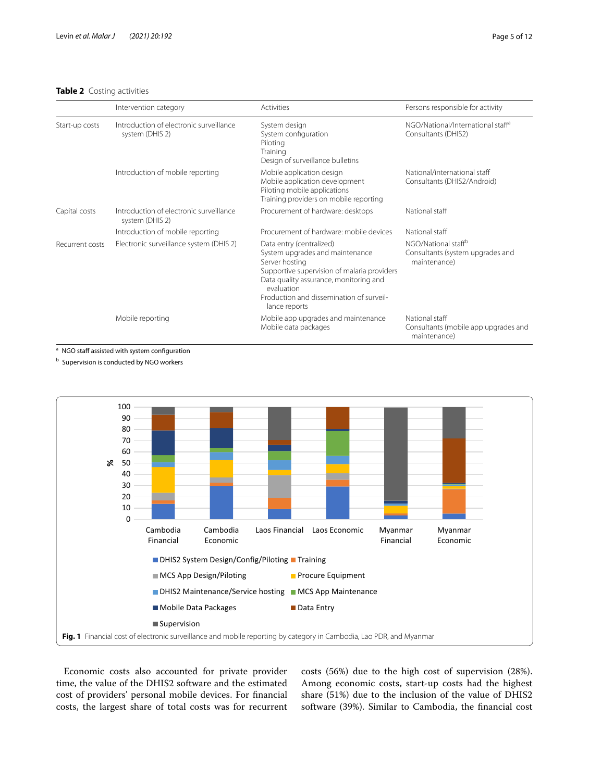# <span id="page-4-0"></span>**Table 2** Costing activities

|                 | Intervention category                                      | Activities                                                                                                                                                                                                                                        | Persons responsible for activity                                                    |
|-----------------|------------------------------------------------------------|---------------------------------------------------------------------------------------------------------------------------------------------------------------------------------------------------------------------------------------------------|-------------------------------------------------------------------------------------|
| Start-up costs  | Introduction of electronic surveillance<br>system (DHIS 2) | System design<br>System configuration<br>Piloting<br>Training<br>Design of surveillance bulletins                                                                                                                                                 | NGO/National/International staff <sup>a</sup><br>Consultants (DHIS2)                |
|                 | Introduction of mobile reporting                           | Mobile application design<br>Mobile application development<br>Piloting mobile applications<br>Training providers on mobile reporting                                                                                                             | National/international staff<br>Consultants (DHIS2/Android)                         |
| Capital costs   | Introduction of electronic surveillance<br>system (DHIS 2) | Procurement of hardware: desktops                                                                                                                                                                                                                 | National staff                                                                      |
|                 | Introduction of mobile reporting                           | Procurement of hardware: mobile devices                                                                                                                                                                                                           | National staff                                                                      |
| Recurrent costs | Electronic surveillance system (DHIS 2)                    | Data entry (centralized)<br>System upgrades and maintenance<br>Server hosting<br>Supportive supervision of malaria providers<br>Data quality assurance, monitoring and<br>evaluation<br>Production and dissemination of surveil-<br>lance reports | NGO/National staff <sup>b</sup><br>Consultants (system upgrades and<br>maintenance) |
|                 | Mobile reporting                                           | Mobile app upgrades and maintenance<br>Mobile data packages                                                                                                                                                                                       | National staff<br>Consultants (mobile app upgrades and<br>maintenance)              |

a NGO staff assisted with system configuration

**b** Supervision is conducted by NGO workers



<span id="page-4-1"></span>Economic costs also accounted for private provider time, the value of the DHIS2 software and the estimated cost of providers' personal mobile devices. For fnancial costs, the largest share of total costs was for recurrent costs (56%) due to the high cost of supervision (28%). Among economic costs, start-up costs had the highest share (51%) due to the inclusion of the value of DHIS2 software (39%). Similar to Cambodia, the fnancial cost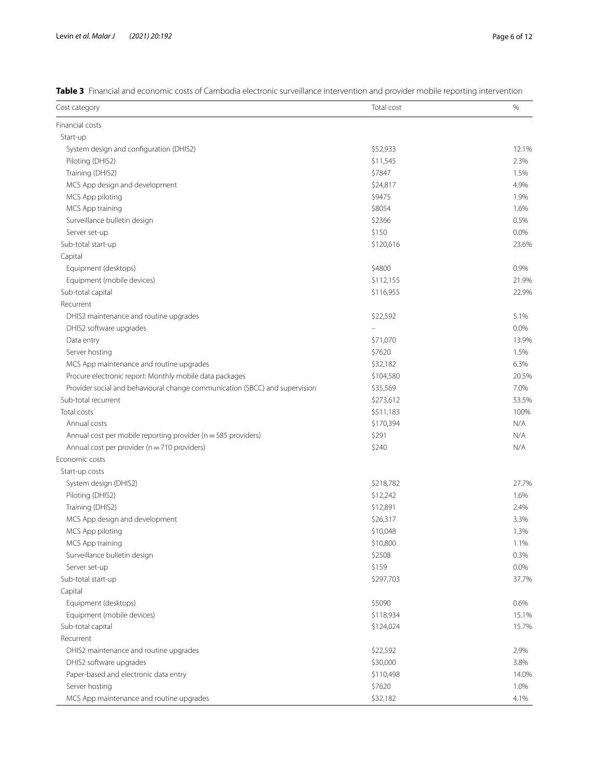<span id="page-5-0"></span>**Table 3** Financial and economic costs of Cambodia electronic surveillance intervention and provider mobile reporting intervention

| Cost category                                                               | Total cost | $\%$    |
|-----------------------------------------------------------------------------|------------|---------|
| Financial costs                                                             |            |         |
| Start-up                                                                    |            |         |
| System design and configuration (DHIS2)                                     | \$52,933   | 12.1%   |
| Piloting (DHIS2)                                                            | \$11,545   | 2.3%    |
| Training (DHIS2)                                                            | \$7847     | 1.5%    |
| MCS App design and development                                              | \$24,817   | 4.9%    |
| MCS App piloting                                                            | \$9475     | 1.9%    |
| MCS App training                                                            | \$8054     | 1.6%    |
| Surveillance bulletin design                                                | \$2366     | 0.5%    |
| Server set-up                                                               | \$150      | 0.0%    |
| Sub-total start-up                                                          | \$120,616  | 23.6%   |
| Capital                                                                     |            |         |
| Equipment (desktops)                                                        | \$4800     | 0.9%    |
| Equipment (mobile devices)                                                  | \$112,155  | 21.9%   |
| Sub-total capital                                                           | \$116,955  | 22.9%   |
| Recurrent                                                                   |            |         |
| DHIS2 maintenance and routine upgrades                                      | \$22,592   | 5.1%    |
| DHIS2 software upgrades                                                     |            | 0.0%    |
|                                                                             |            |         |
| Data entry                                                                  | \$71,070   | 13.9%   |
| Server hosting                                                              | \$7620     | 1.5%    |
| MCS App maintenance and routine upgrades                                    | \$32,182   | 6.3%    |
| Procure electronic report: Monthly mobile data packages                     | \$104,580  | 20.5%   |
| Provider social and behavioural change communication (SBCC) and supervision | \$35,569   | 7.0%    |
| Sub-total recurrent                                                         | \$273,612  | 53.5%   |
| Total costs                                                                 | \$511,183  | 100%    |
| Annual costs                                                                | \$170,394  | N/A     |
| Annual cost per mobile reporting provider ( $n = 585$ providers)            | \$291      | N/A     |
| Annual cost per provider ( $n = 710$ providers)                             | \$240      | N/A     |
| Economic costs                                                              |            |         |
| Start-up costs                                                              |            |         |
| System design (DHIS2)                                                       | \$218,782  | 27.7%   |
| Piloting (DHIS2)                                                            | \$12,242   | 1.6%    |
| Training (DHIS2)                                                            | \$12,891   | 2.4%    |
| MCS App design and development                                              | \$26,317   | 3.3%    |
| MCS App piloting                                                            | \$10,048   | 1.3%    |
| MCS App training                                                            | \$10,800   | 1.1%    |
| Surveillance bulletin design                                                | \$2508     | 0.3%    |
| Server set-up                                                               | \$159      | $0.0\%$ |
| Sub-total start-up                                                          | \$297,703  | 37.7%   |
| Capital                                                                     |            |         |
| Equipment (desktops)                                                        | \$5090     | 0.6%    |
| Equipment (mobile devices)                                                  | \$118,934  | 15.1%   |
| Sub-total capital                                                           | \$124,024  | 15.7%   |
| Recurrent                                                                   |            |         |
| DHIS2 maintenance and routine upgrades                                      | \$22,592   | 2.9%    |
| DHIS2 software upgrades                                                     | \$30,000   | 3.8%    |
| Paper-based and electronic data entry                                       | \$110,498  | 14.0%   |
| Server hosting                                                              | \$7620     | 1.0%    |
| MCS App maintenance and routine upgrades                                    | \$32,182   | 4.1%    |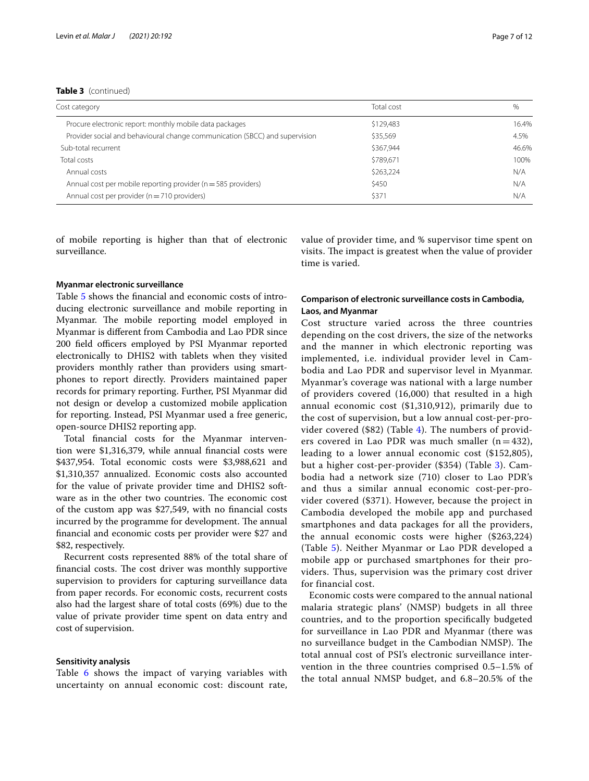**Table 3** (continued)

| Cost category                                                               | Total cost | %     |
|-----------------------------------------------------------------------------|------------|-------|
| Procure electronic report: monthly mobile data packages                     | \$129,483  | 16.4% |
| Provider social and behavioural change communication (SBCC) and supervision | \$35,569   | 4.5%  |
| Sub-total recurrent                                                         | \$367.944  | 46.6% |
| Total costs                                                                 | \$789,671  | 100%  |
| Annual costs                                                                | \$263,224  | N/A   |
| Annual cost per mobile reporting provider ( $n = 585$ providers)            | \$450      | N/A   |
| Annual cost per provider ( $n = 710$ providers)                             | \$371      | N/A   |

of mobile reporting is higher than that of electronic surveillance.

value of provider time, and % supervisor time spent on visits. The impact is greatest when the value of provider time is varied.

#### **Myanmar electronic surveillance**

Table [5](#page-9-0) shows the fnancial and economic costs of introducing electronic surveillance and mobile reporting in Myanmar. The mobile reporting model employed in Myanmar is diferent from Cambodia and Lao PDR since 200 field officers employed by PSI Myanmar reported electronically to DHIS2 with tablets when they visited providers monthly rather than providers using smartphones to report directly. Providers maintained paper records for primary reporting. Further, PSI Myanmar did not design or develop a customized mobile application for reporting. Instead, PSI Myanmar used a free generic, open-source DHIS2 reporting app.

Total fnancial costs for the Myanmar intervention were \$1,316,379, while annual fnancial costs were \$437,954. Total economic costs were \$3,988,621 and \$1,310,357 annualized. Economic costs also accounted for the value of private provider time and DHIS2 software as in the other two countries. The economic cost of the custom app was \$27,549, with no fnancial costs incurred by the programme for development. The annual fnancial and economic costs per provider were \$27 and \$82, respectively.

Recurrent costs represented 88% of the total share of financial costs. The cost driver was monthly supportive supervision to providers for capturing surveillance data from paper records. For economic costs, recurrent costs also had the largest share of total costs (69%) due to the value of private provider time spent on data entry and cost of supervision.

# **Sensitivity analysis**

Table [6](#page-10-0) shows the impact of varying variables with uncertainty on annual economic cost: discount rate,

# **Comparison of electronic surveillance costs in Cambodia, Laos, and Myanmar**

Cost structure varied across the three countries depending on the cost drivers, the size of the networks and the manner in which electronic reporting was implemented, i.e. individual provider level in Cambodia and Lao PDR and supervisor level in Myanmar. Myanmar's coverage was national with a large number of providers covered (16,000) that resulted in a high annual economic cost (\$1,310,912), primarily due to the cost of supervision, but a low annual cost-per-provider covered (\$82) (Table [4](#page-7-0)). The numbers of providers covered in Lao PDR was much smaller  $(n=432)$ , leading to a lower annual economic cost (\$152,805), but a higher cost-per-provider (\$354) (Table [3\)](#page-5-0). Cambodia had a network size (710) closer to Lao PDR's and thus a similar annual economic cost-per-provider covered (\$371). However, because the project in Cambodia developed the mobile app and purchased smartphones and data packages for all the providers, the annual economic costs were higher (\$263,224) (Table [5](#page-9-0)). Neither Myanmar or Lao PDR developed a mobile app or purchased smartphones for their providers. Thus, supervision was the primary cost driver for financial cost.

Economic costs were compared to the annual national malaria strategic plans' (NMSP) budgets in all three countries, and to the proportion specifcally budgeted for surveillance in Lao PDR and Myanmar (there was no surveillance budget in the Cambodian NMSP). The total annual cost of PSI's electronic surveillance intervention in the three countries comprised 0.5–1.5% of the total annual NMSP budget, and 6.8–20.5% of the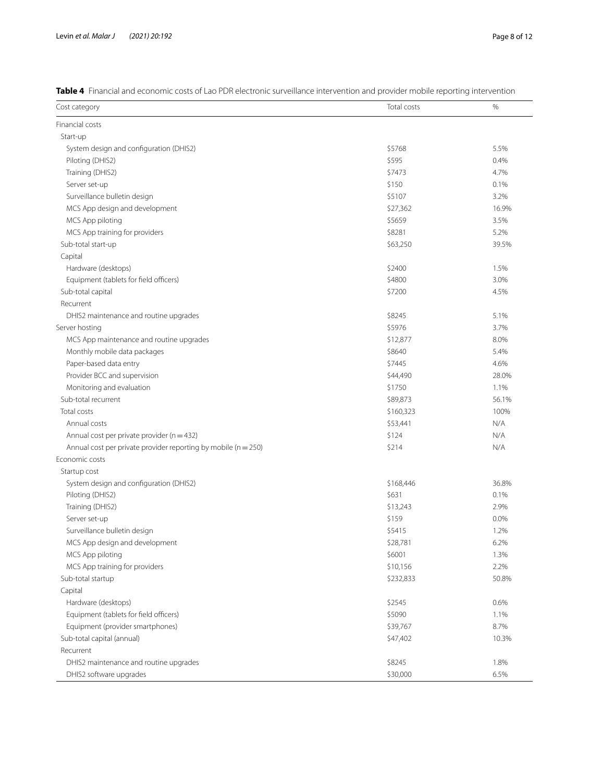<span id="page-7-0"></span>

| Table 4 Financial and economic costs of Lao PDR electronic surveillance intervention and provider mobile reporting intervention |  |
|---------------------------------------------------------------------------------------------------------------------------------|--|
|---------------------------------------------------------------------------------------------------------------------------------|--|

| Cost category                                                      | Total costs | $\%$  |
|--------------------------------------------------------------------|-------------|-------|
| Financial costs                                                    |             |       |
| Start-up                                                           |             |       |
| System design and configuration (DHIS2)                            | \$5768      | 5.5%  |
| Piloting (DHIS2)                                                   | \$595       | 0.4%  |
| Training (DHIS2)                                                   | \$7473      | 4.7%  |
| Server set-up                                                      | \$150       | 0.1%  |
| Surveillance bulletin design                                       | \$5107      | 3.2%  |
| MCS App design and development                                     | \$27,362    | 16.9% |
| MCS App piloting                                                   | \$5659      | 3.5%  |
| MCS App training for providers                                     | \$8281      | 5.2%  |
| Sub-total start-up                                                 | \$63,250    | 39.5% |
| Capital                                                            |             |       |
| Hardware (desktops)                                                | \$2400      | 1.5%  |
| Equipment (tablets for field officers)                             | \$4800      | 3.0%  |
| Sub-total capital                                                  | \$7200      | 4.5%  |
| Recurrent                                                          |             |       |
| DHIS2 maintenance and routine upgrades                             | \$8245      | 5.1%  |
| Server hosting                                                     | \$5976      | 3.7%  |
| MCS App maintenance and routine upgrades                           | \$12,877    | 8.0%  |
| Monthly mobile data packages                                       | \$8640      | 5.4%  |
| Paper-based data entry                                             | \$7445      | 4.6%  |
| Provider BCC and supervision                                       | \$44,490    | 28.0% |
| Monitoring and evaluation                                          | \$1750      | 1.1%  |
| Sub-total recurrent                                                | \$89,873    | 56.1% |
| Total costs                                                        | \$160,323   | 100%  |
| Annual costs                                                       | \$53,441    | N/A   |
| Annual cost per private provider ( $n = 432$ )                     | \$124       | N/A   |
| Annual cost per private provider reporting by mobile ( $n = 250$ ) | \$214       | N/A   |
| Economic costs                                                     |             |       |
| Startup cost                                                       |             |       |
| System design and configuration (DHIS2)                            | \$168,446   | 36.8% |
| Piloting (DHIS2)                                                   | \$631       | 0.1%  |
| Training (DHIS2)                                                   | \$13,243    | 2.9%  |
| Server set-up                                                      | \$159       | 0.0%  |
| Surveillance bulletin design                                       | \$5415      | 1.2%  |
| MCS App design and development                                     | \$28,781    | 6.2%  |
| MCS App piloting                                                   | \$6001      | 1.3%  |
| MCS App training for providers                                     | \$10,156    | 2.2%  |
| Sub-total startup                                                  | \$232,833   | 50.8% |
| Capital                                                            |             |       |
| Hardware (desktops)                                                | \$2545      | 0.6%  |
| Equipment (tablets for field officers)                             | \$5090      | 1.1%  |
| Equipment (provider smartphones)                                   | \$39,767    | 8.7%  |
| Sub-total capital (annual)                                         | \$47,402    | 10.3% |
| Recurrent                                                          |             |       |
| DHIS2 maintenance and routine upgrades                             | \$8245      | 1.8%  |
| DHIS2 software upgrades                                            | \$30,000    | 6.5%  |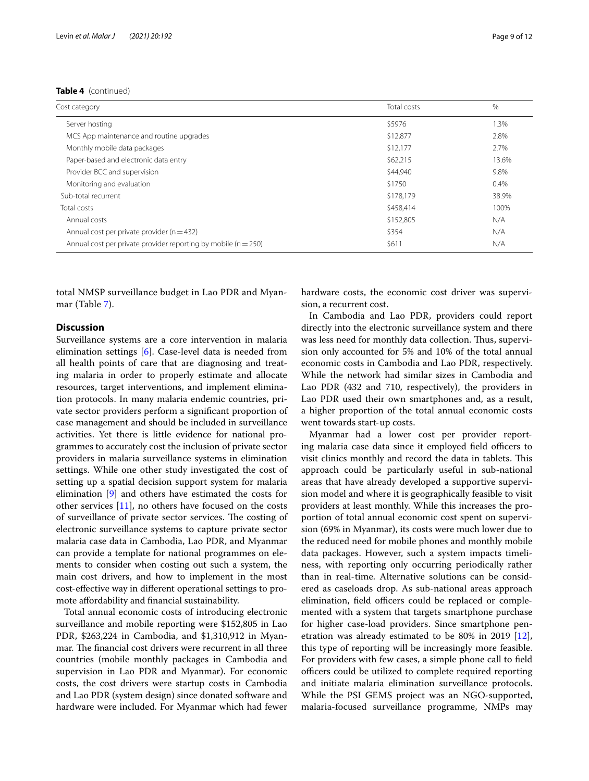| Cost category                                                      | Total costs | $\%$    |
|--------------------------------------------------------------------|-------------|---------|
| Server hosting                                                     | \$5976      | $1.3\%$ |
| MCS App maintenance and routine upgrades                           | \$12,877    | 2.8%    |
| Monthly mobile data packages                                       | \$12,177    | 2.7%    |
| Paper-based and electronic data entry                              | \$62,215    | 13.6%   |
| Provider BCC and supervision                                       | \$44,940    | 9.8%    |
| Monitoring and evaluation                                          | \$1750      | 0.4%    |
| Sub-total recurrent                                                | \$178,179   | 38.9%   |
| Total costs                                                        | \$458,414   | 100%    |
| Annual costs                                                       | \$152,805   | N/A     |
| Annual cost per private provider ( $n = 432$ )                     | \$354       | N/A     |
| Annual cost per private provider reporting by mobile ( $n = 250$ ) | \$611       | N/A     |

total NMSP surveillance budget in Lao PDR and Myanmar (Table [7\)](#page-10-1).

# **Discussion**

Surveillance systems are a core intervention in malaria elimination settings [[6\]](#page-11-4). Case-level data is needed from all health points of care that are diagnosing and treating malaria in order to properly estimate and allocate resources, target interventions, and implement elimination protocols. In many malaria endemic countries, private sector providers perform a signifcant proportion of case management and should be included in surveillance activities. Yet there is little evidence for national programmes to accurately cost the inclusion of private sector providers in malaria surveillance systems in elimination settings. While one other study investigated the cost of setting up a spatial decision support system for malaria elimination [\[9](#page-11-7)] and others have estimated the costs for other services [[11\]](#page-11-10), no others have focused on the costs of surveillance of private sector services. The costing of electronic surveillance systems to capture private sector malaria case data in Cambodia, Lao PDR, and Myanmar can provide a template for national programmes on elements to consider when costing out such a system, the main cost drivers, and how to implement in the most cost-efective way in diferent operational settings to promote afordability and fnancial sustainability.

Total annual economic costs of introducing electronic surveillance and mobile reporting were \$152,805 in Lao PDR, \$263,224 in Cambodia, and \$1,310,912 in Myanmar. The financial cost drivers were recurrent in all three countries (mobile monthly packages in Cambodia and supervision in Lao PDR and Myanmar). For economic costs, the cost drivers were startup costs in Cambodia and Lao PDR (system design) since donated software and hardware were included. For Myanmar which had fewer hardware costs, the economic cost driver was supervision, a recurrent cost.

In Cambodia and Lao PDR, providers could report directly into the electronic surveillance system and there was less need for monthly data collection. Thus, supervision only accounted for 5% and 10% of the total annual economic costs in Cambodia and Lao PDR, respectively. While the network had similar sizes in Cambodia and Lao PDR (432 and 710, respectively), the providers in Lao PDR used their own smartphones and, as a result, a higher proportion of the total annual economic costs went towards start-up costs.

Myanmar had a lower cost per provider reporting malaria case data since it employed field officers to visit clinics monthly and record the data in tablets. This approach could be particularly useful in sub-national areas that have already developed a supportive supervision model and where it is geographically feasible to visit providers at least monthly. While this increases the proportion of total annual economic cost spent on supervision (69% in Myanmar), its costs were much lower due to the reduced need for mobile phones and monthly mobile data packages. However, such a system impacts timeliness, with reporting only occurring periodically rather than in real-time. Alternative solutions can be considered as caseloads drop. As sub-national areas approach elimination, field officers could be replaced or complemented with a system that targets smartphone purchase for higher case-load providers. Since smartphone penetration was already estimated to be 80% in 2019 [\[12](#page-11-11)], this type of reporting will be increasingly more feasible. For providers with few cases, a simple phone call to feld officers could be utilized to complete required reporting and initiate malaria elimination surveillance protocols. While the PSI GEMS project was an NGO-supported, malaria-focused surveillance programme, NMPs may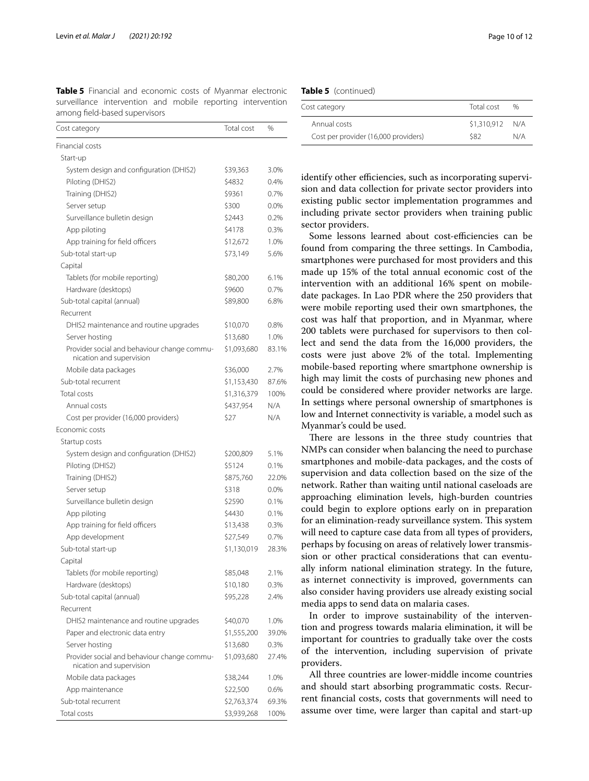<span id="page-9-0"></span>**Table 5** Financial and economic costs of Myanmar electronic surveillance intervention and mobile reporting intervention among feld-based supervisors

| Total cost  | %                                                                             |
|-------------|-------------------------------------------------------------------------------|
|             |                                                                               |
|             |                                                                               |
| \$39,363    | 3.0%                                                                          |
| \$4832      | 0.4%                                                                          |
| \$9361      | 0.7%                                                                          |
| \$300       | 0.0%                                                                          |
| \$2443      | 0.2%                                                                          |
| \$4178      | 0.3%                                                                          |
| \$12,672    | 1.0%                                                                          |
| \$73,149    | 5.6%                                                                          |
|             |                                                                               |
| \$80,200    | 6.1%                                                                          |
| \$9600      | 0.7%                                                                          |
| \$89,800    | 6.8%                                                                          |
|             |                                                                               |
| \$10,070    | 0.8%                                                                          |
| \$13,680    | 1.0%                                                                          |
| \$1,093,680 | 83.1%                                                                         |
| \$36,000    | 2.7%                                                                          |
| \$1,153,430 | 87.6%                                                                         |
| \$1,316,379 | 100%                                                                          |
| \$437,954   | N/A                                                                           |
| \$27        | N/A                                                                           |
|             |                                                                               |
|             |                                                                               |
| \$200,809   | 5.1%                                                                          |
| \$5124      | 0.1%                                                                          |
| \$875,760   | 22.0%                                                                         |
| \$318       | 0.0%                                                                          |
| \$2590      | 0.1%                                                                          |
| \$4430      | 0.1%                                                                          |
| \$13,438    | 0.3%                                                                          |
| \$27,549    | 0.7%                                                                          |
| \$1,130,019 | 28.3%                                                                         |
|             |                                                                               |
| \$85,048    | 2.1%                                                                          |
| \$10,180    | 0.3%                                                                          |
| \$95,228    | 2.4%                                                                          |
|             |                                                                               |
|             | 1.0%                                                                          |
|             | 39.0%                                                                         |
| \$13,680    | 0.3%                                                                          |
| \$1,093,680 | 27.4%                                                                         |
|             | 1.0%                                                                          |
|             | 0.6%                                                                          |
|             | 69.3%                                                                         |
|             | 100%                                                                          |
|             | \$40,070<br>\$1,555,200<br>\$38,244<br>\$22,500<br>\$2,763,374<br>\$3,939,268 |

|  | <b>Table 5</b> (continued) |
|--|----------------------------|
|--|----------------------------|

| Cost category                        | Total cost  | %   |
|--------------------------------------|-------------|-----|
| Annual costs                         | \$1,310,912 | N/A |
| Cost per provider (16,000 providers) | S82         | N/A |

identify other efficiencies, such as incorporating supervision and data collection for private sector providers into existing public sector implementation programmes and including private sector providers when training public sector providers.

Some lessons learned about cost-efficiencies can be found from comparing the three settings. In Cambodia, smartphones were purchased for most providers and this made up 15% of the total annual economic cost of the intervention with an additional 16% spent on mobiledate packages. In Lao PDR where the 250 providers that were mobile reporting used their own smartphones, the cost was half that proportion, and in Myanmar, where 200 tablets were purchased for supervisors to then collect and send the data from the 16,000 providers, the costs were just above 2% of the total. Implementing mobile-based reporting where smartphone ownership is high may limit the costs of purchasing new phones and could be considered where provider networks are large. In settings where personal ownership of smartphones is low and Internet connectivity is variable, a model such as Myanmar's could be used.

There are lessons in the three study countries that NMPs can consider when balancing the need to purchase smartphones and mobile-data packages, and the costs of supervision and data collection based on the size of the network. Rather than waiting until national caseloads are approaching elimination levels, high-burden countries could begin to explore options early on in preparation for an elimination-ready surveillance system. This system will need to capture case data from all types of providers, perhaps by focusing on areas of relatively lower transmission or other practical considerations that can eventually inform national elimination strategy. In the future, as internet connectivity is improved, governments can also consider having providers use already existing social media apps to send data on malaria cases.

In order to improve sustainability of the intervention and progress towards malaria elimination, it will be important for countries to gradually take over the costs of the intervention, including supervision of private providers.

All three countries are lower-middle income countries and should start absorbing programmatic costs. Recurrent fnancial costs, costs that governments will need to assume over time, were larger than capital and start-up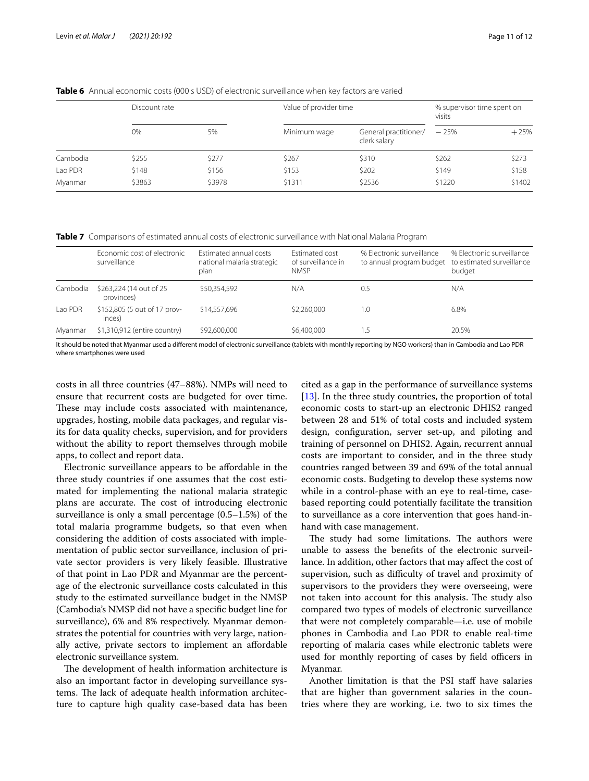|          | Discount rate |        | Value of provider time |                                       | % supervisor time spent on<br>visits |        |
|----------|---------------|--------|------------------------|---------------------------------------|--------------------------------------|--------|
|          | 0%            | 5%     | Minimum wage           | General practitioner/<br>clerk salary | $-25%$                               | $+25%$ |
| Cambodia | \$255         | \$277  | \$267                  | \$310                                 | \$262                                | \$273  |
| Lao PDR  | \$148         | \$156  | \$153                  | \$202                                 | \$149                                | \$158  |
| Myanmar  | \$3863        | \$3978 | \$1311                 | \$2536                                | \$1220                               | \$1402 |

<span id="page-10-0"></span>**Table 6** Annual economic costs (000 s USD) of electronic surveillance when key factors are varied

<span id="page-10-1"></span>**Table 7** Comparisons of estimated annual costs of electronic surveillance with National Malaria Program

|          | Economic cost of electronic<br>surveillance | Estimated annual costs<br>national malaria strategic<br>plan | <b>Estimated cost</b><br>of surveillance in<br><b>NMSP</b> | % Electronic surveillance<br>to annual program budget to estimated surveillance | % Electronic surveillance<br>budget |
|----------|---------------------------------------------|--------------------------------------------------------------|------------------------------------------------------------|---------------------------------------------------------------------------------|-------------------------------------|
| Cambodia | \$263,224 (14 out of 25)<br>provinces)      | \$50.354.592                                                 | N/A                                                        | 0.5                                                                             | N/A                                 |
| Lao PDR  | \$152,805 (5 out of 17 prov-<br>inces)      | \$14,557,696                                                 | \$2,260,000                                                | 1.0                                                                             | 6.8%                                |
| Myanmar  | \$1,310,912 (entire country)                | \$92,600,000                                                 | \$6,400,000                                                | 1.5                                                                             | 20.5%                               |

It should be noted that Myanmar used a diferent model of electronic surveillance (tablets with monthly reporting by NGO workers) than in Cambodia and Lao PDR where smartphones were used

costs in all three countries (47–88%). NMPs will need to ensure that recurrent costs are budgeted for over time. These may include costs associated with maintenance, upgrades, hosting, mobile data packages, and regular visits for data quality checks, supervision, and for providers without the ability to report themselves through mobile apps, to collect and report data.

Electronic surveillance appears to be afordable in the three study countries if one assumes that the cost estimated for implementing the national malaria strategic plans are accurate. The cost of introducing electronic surveillance is only a small percentage (0.5–1.5%) of the total malaria programme budgets, so that even when considering the addition of costs associated with implementation of public sector surveillance, inclusion of private sector providers is very likely feasible. Illustrative of that point in Lao PDR and Myanmar are the percentage of the electronic surveillance costs calculated in this study to the estimated surveillance budget in the NMSP (Cambodia's NMSP did not have a specifc budget line for surveillance), 6% and 8% respectively. Myanmar demonstrates the potential for countries with very large, nationally active, private sectors to implement an afordable electronic surveillance system.

The development of health information architecture is also an important factor in developing surveillance systems. The lack of adequate health information architecture to capture high quality case-based data has been cited as a gap in the performance of surveillance systems [[13\]](#page-11-12). In the three study countries, the proportion of total economic costs to start-up an electronic DHIS2 ranged between 28 and 51% of total costs and included system design, confguration, server set-up, and piloting and training of personnel on DHIS2. Again, recurrent annual costs are important to consider, and in the three study countries ranged between 39 and 69% of the total annual economic costs. Budgeting to develop these systems now while in a control-phase with an eye to real-time, casebased reporting could potentially facilitate the transition to surveillance as a core intervention that goes hand-inhand with case management.

The study had some limitations. The authors were unable to assess the benefts of the electronic surveillance. In addition, other factors that may afect the cost of supervision, such as difficulty of travel and proximity of supervisors to the providers they were overseeing, were not taken into account for this analysis. The study also compared two types of models of electronic surveillance that were not completely comparable—i.e. use of mobile phones in Cambodia and Lao PDR to enable real-time reporting of malaria cases while electronic tablets were used for monthly reporting of cases by field officers in Myanmar.

Another limitation is that the PSI staff have salaries that are higher than government salaries in the countries where they are working, i.e. two to six times the